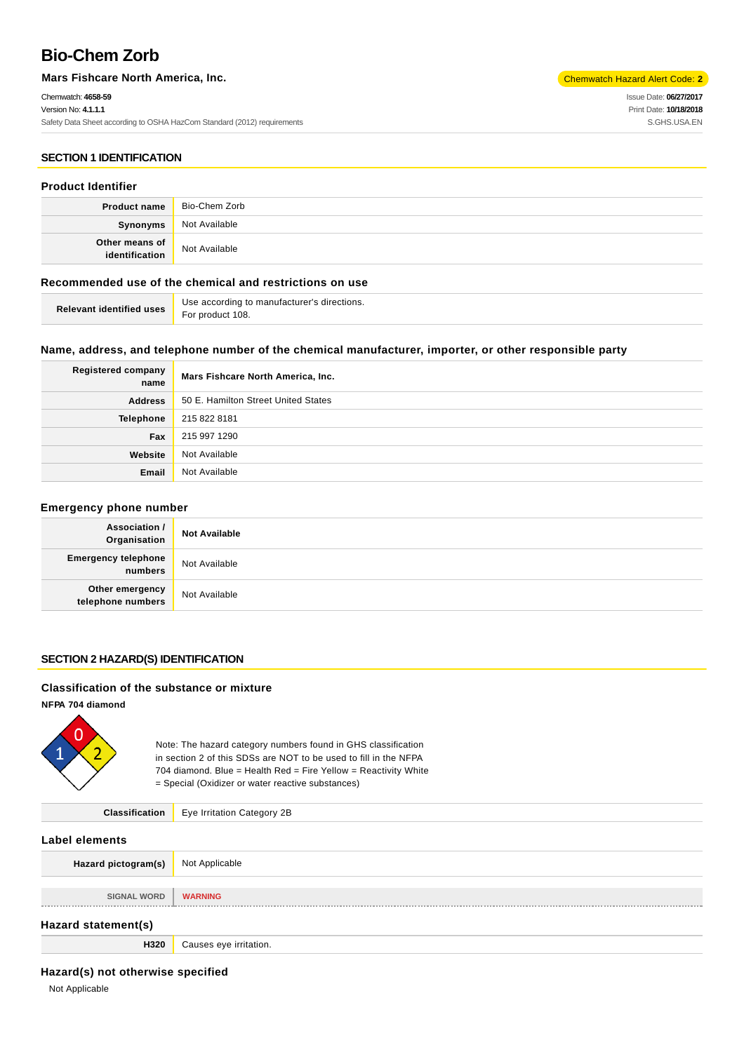# **Bio-Chem Zorb**

**Mars Fishcare North America, Inc.** Chemwatch Hazard Alert Code: 2<sup>1</sup>

Chemwatch: **4658-59** Version No: **4.1.1.1** Safety Data Sheet according to OSHA HazCom Standard (2012) requirements Issue Date: **06/27/2017** Print Date: **10/18/2018** S.GHS.USA.EN

#### **SECTION 1 IDENTIFICATION**

#### **Product Identifier**

|                                  | <b>Product name</b> Bio-Chem Zorb |
|----------------------------------|-----------------------------------|
| Synonyms                         | Not Available                     |
| Other means of<br>identification | Not Available                     |

## **Recommended use of the chemical and restrictions on use**

| <b>Relevant identified uses</b> For product 108. | Use according to manufacturer's directions. |
|--------------------------------------------------|---------------------------------------------|
|                                                  |                                             |

#### **Name, address, and telephone number of the chemical manufacturer, importer, or other responsible party**

| <b>Registered company</b><br>name | Mars Fishcare North America, Inc.   |
|-----------------------------------|-------------------------------------|
| <b>Address</b>                    | 50 E. Hamilton Street United States |
| Telephone                         | 215 822 8181                        |
| Fax                               | 215 997 1290                        |
| Website                           | Not Available                       |
| Email                             | Not Available                       |

#### **Emergency phone number**

| Association /<br>Organisation         | <b>Not Available</b> |
|---------------------------------------|----------------------|
| <b>Emergency telephone</b><br>numbers | Not Available        |
| Other emergency<br>telephone numbers  | Not Available        |

#### **SECTION 2 HAZARD(S) IDENTIFICATION**

#### **Classification of the substance or mixture**

**NFPA 704 diamond**



Note: The hazard category numbers found in GHS classification in section 2 of this SDSs are NOT to be used to fill in the NFPA 704 diamond. Blue = Health Red = Fire Yellow = Reactivity White = Special (Oxidizer or water reactive substances)

**Classification** Eye Irritation Category 2B

#### **Label elements**

| LUNCI CICIIIVIII.   |                        |  |  |
|---------------------|------------------------|--|--|
| Hazard pictogram(s) | Not Applicable         |  |  |
|                     |                        |  |  |
| <b>SIGNAL WORD</b>  | <b>WARNING</b>         |  |  |
|                     |                        |  |  |
| Hazard statement(s) |                        |  |  |
| H320                | Causes eye irritation. |  |  |

## **Hazard(s) not otherwise specified**

Not Applicable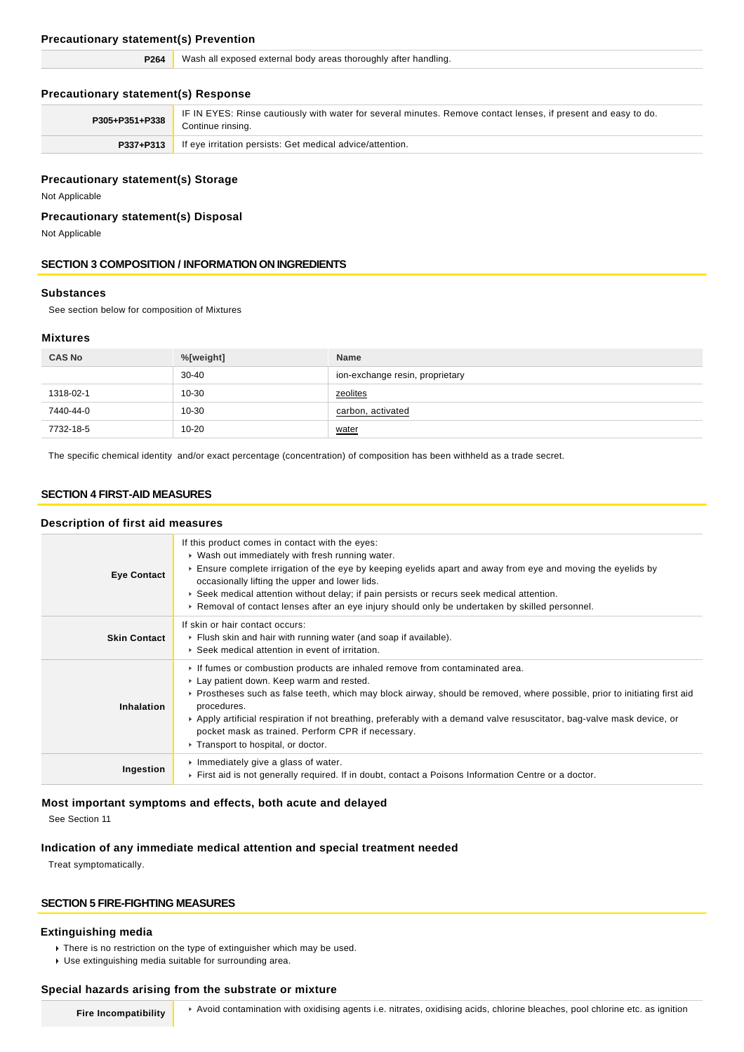#### **Precautionary statement(s) Prevention**

| P <sub>264</sub> | Wash all exposed external body areas thoroughly after handling. |  |
|------------------|-----------------------------------------------------------------|--|
|                  |                                                                 |  |

## **Precautionary statement(s) Response**

| P305+P351+P338 | IF IN EYES: Rinse cautiously with water for several minutes. Remove contact lenses, if present and easy to do.<br>Continue rinsing. |
|----------------|-------------------------------------------------------------------------------------------------------------------------------------|
|                | <b>P337+P313</b> If eye irritation persists: Get medical advice/attention.                                                          |

## **Precautionary statement(s) Storage**

Not Applicable

## **Precautionary statement(s) Disposal**

Not Applicable

## **SECTION 3 COMPOSITION / INFORMATION ON INGREDIENTS**

## **Substances**

See section below for composition of Mixtures

## **Mixtures**

| <b>CAS No</b> | %[weight] | <b>Name</b>                     |
|---------------|-----------|---------------------------------|
|               | $30 - 40$ | ion-exchange resin, proprietary |
| 1318-02-1     | 10-30     | zeolites                        |
| 7440-44-0     | 10-30     | carbon, activated               |
| 7732-18-5     | $10 - 20$ | water                           |

The specific chemical identity and/or exact percentage (concentration) of composition has been withheld as a trade secret.

## **SECTION 4 FIRST-AID MEASURES**

#### **Description of first aid measures**

| <b>Eye Contact</b>  | If this product comes in contact with the eyes:<br>• Wash out immediately with fresh running water.<br>Ensure complete irrigation of the eye by keeping eyelids apart and away from eye and moving the eyelids by<br>occasionally lifting the upper and lower lids.<br>▶ Seek medical attention without delay; if pain persists or recurs seek medical attention.<br>► Removal of contact lenses after an eye injury should only be undertaken by skilled personnel.                        |
|---------------------|---------------------------------------------------------------------------------------------------------------------------------------------------------------------------------------------------------------------------------------------------------------------------------------------------------------------------------------------------------------------------------------------------------------------------------------------------------------------------------------------|
| <b>Skin Contact</b> | If skin or hair contact occurs:<br>Flush skin and hair with running water (and soap if available).<br>▶ Seek medical attention in event of irritation.                                                                                                                                                                                                                                                                                                                                      |
| Inhalation          | If fumes or combustion products are inhaled remove from contaminated area.<br>► Lay patient down. Keep warm and rested.<br>▶ Prostheses such as false teeth, which may block airway, should be removed, where possible, prior to initiating first aid<br>procedures.<br>► Apply artificial respiration if not breathing, preferably with a demand valve resuscitator, bag-valve mask device, or<br>pocket mask as trained. Perform CPR if necessary.<br>▶ Transport to hospital, or doctor. |
| Ingestion           | Immediately give a glass of water.<br>First aid is not generally required. If in doubt, contact a Poisons Information Centre or a doctor.                                                                                                                                                                                                                                                                                                                                                   |

## **Most important symptoms and effects, both acute and delayed**

See Section 11

#### **Indication of any immediate medical attention and special treatment needed**

Treat symptomatically.

## **SECTION 5 FIRE-FIGHTING MEASURES**

#### **Extinguishing media**

- There is no restriction on the type of extinguisher which may be used.
- Use extinguishing media suitable for surrounding area.

#### **Special hazards arising from the substrate or mixture**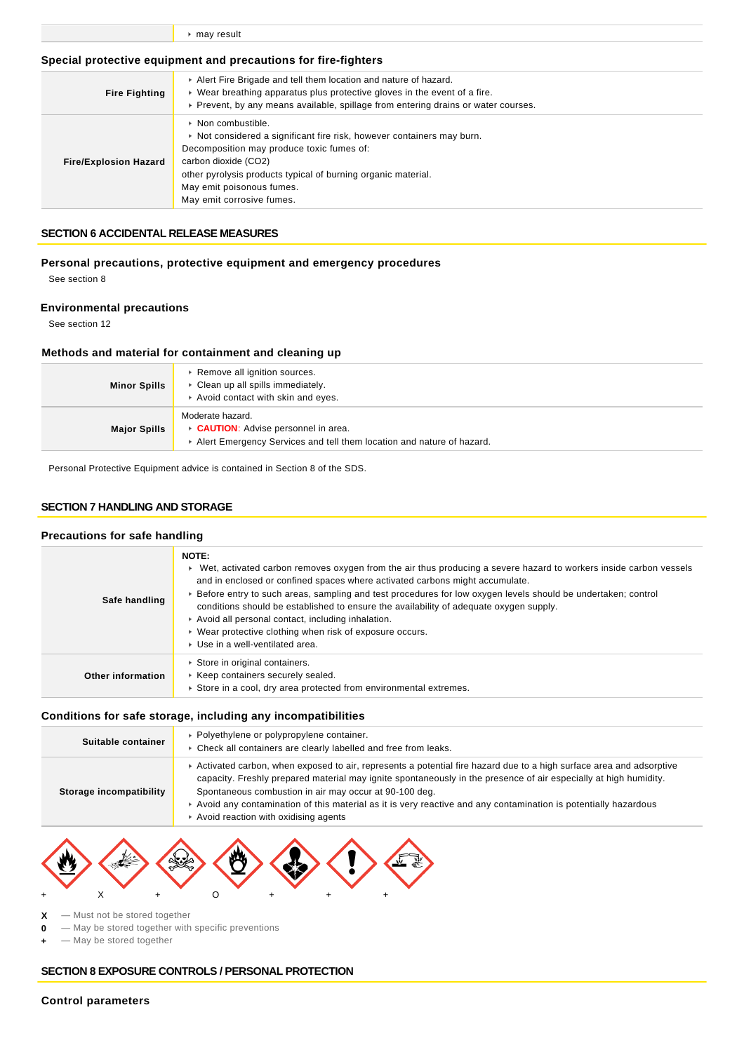|  |  | $\triangleright$ may result |
|--|--|-----------------------------|
|--|--|-----------------------------|

#### **Special protective equipment and precautions for fire-fighters**

| <b>Fire Fighting</b>         | Alert Fire Brigade and tell them location and nature of hazard.<br>• Wear breathing apparatus plus protective gloves in the event of a fire.<br>► Prevent, by any means available, spillage from entering drains or water courses.                                                                        |  |
|------------------------------|-----------------------------------------------------------------------------------------------------------------------------------------------------------------------------------------------------------------------------------------------------------------------------------------------------------|--|
| <b>Fire/Explosion Hazard</b> | $\triangleright$ Non combustible.<br>Not considered a significant fire risk, however containers may burn.<br>Decomposition may produce toxic fumes of:<br>carbon dioxide (CO2)<br>other pyrolysis products typical of burning organic material.<br>May emit poisonous fumes.<br>May emit corrosive fumes. |  |

#### **SECTION 6 ACCIDENTAL RELEASE MEASURES**

**Personal precautions, protective equipment and emergency procedures** See section 8

## **Environmental precautions**

See section 12

## **Methods and material for containment and cleaning up**

| <b>Minor Spills</b> | ▶ Remove all ignition sources.<br>Clean up all spills immediately.<br>Avoid contact with skin and eyes.                                |
|---------------------|----------------------------------------------------------------------------------------------------------------------------------------|
| <b>Major Spills</b> | Moderate hazard.<br><b>CAUTION:</b> Advise personnel in area.<br>Alert Emergency Services and tell them location and nature of hazard. |

Personal Protective Equipment advice is contained in Section 8 of the SDS.

## **SECTION 7 HANDLING AND STORAGE**

#### **Precautions for safe handling**

| Safe handling     | <b>NOTE:</b><br>► Wet, activated carbon removes oxygen from the air thus producing a severe hazard to workers inside carbon vessels<br>and in enclosed or confined spaces where activated carbons might accumulate.<br>▶ Before entry to such areas, sampling and test procedures for low oxygen levels should be undertaken; control<br>conditions should be established to ensure the availability of adequate oxygen supply.<br>Avoid all personal contact, including inhalation.<br>• Wear protective clothing when risk of exposure occurs.<br>▶ Use in a well-ventilated area. |
|-------------------|--------------------------------------------------------------------------------------------------------------------------------------------------------------------------------------------------------------------------------------------------------------------------------------------------------------------------------------------------------------------------------------------------------------------------------------------------------------------------------------------------------------------------------------------------------------------------------------|
| Other information | Store in original containers.<br>▶ Keep containers securely sealed.<br>Store in a cool, dry area protected from environmental extremes.                                                                                                                                                                                                                                                                                                                                                                                                                                              |

#### **Conditions for safe storage, including any incompatibilities**

| Suitable container      | • Polyethylene or polypropylene container.<br>• Check all containers are clearly labelled and free from leaks.                                                                                                                                                                                                                                                                                                                                                |  |
|-------------------------|---------------------------------------------------------------------------------------------------------------------------------------------------------------------------------------------------------------------------------------------------------------------------------------------------------------------------------------------------------------------------------------------------------------------------------------------------------------|--|
| Storage incompatibility | ► Activated carbon, when exposed to air, represents a potential fire hazard due to a high surface area and adsorptive<br>capacity. Freshly prepared material may ignite spontaneously in the presence of air especially at high humidity.<br>Spontaneous combustion in air may occur at 90-100 deg.<br>Avoid any contamination of this material as it is very reactive and any contamination is potentially hazardous<br>Avoid reaction with oxidising agents |  |



**X** — Must not be stored together

**0** — May be stored together with specific preventions

**+** — May be stored together

#### **SECTION 8 EXPOSURE CONTROLS / PERSONAL PROTECTION**

#### **Control parameters**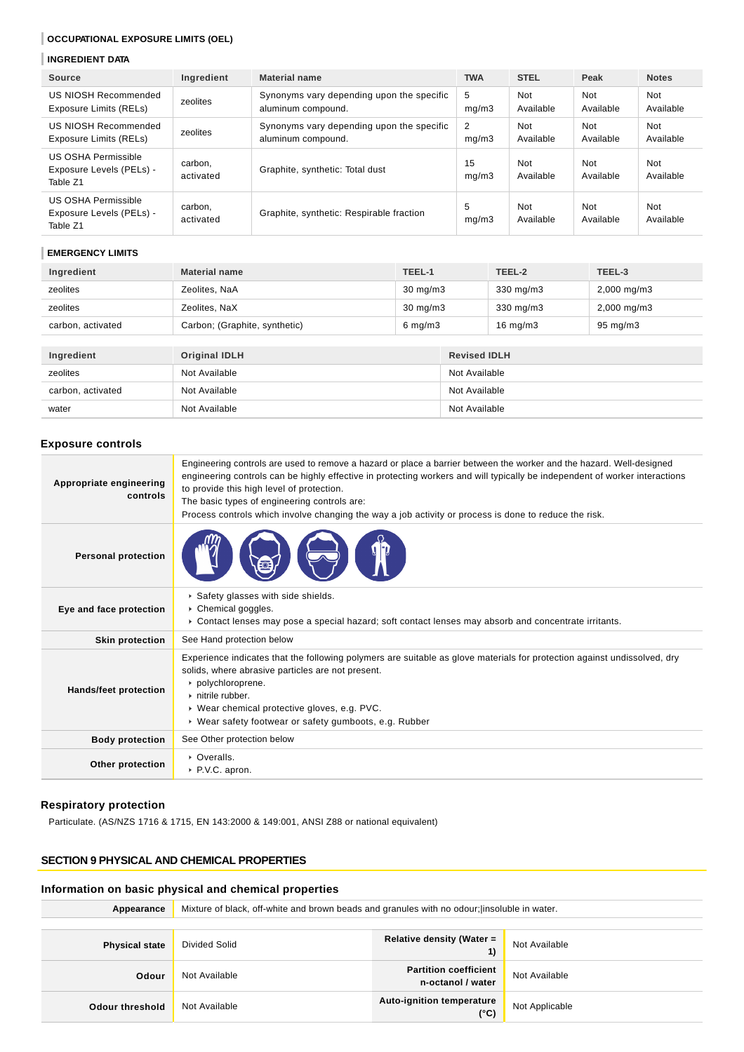## **OCCUPATIONAL EXPOSURE LIMITS (OEL)**

#### **INGREDIENT DATA**

| Source                                                             | Ingredient           | <b>Material name</b>                                            | <b>TWA</b>  | <b>STEL</b>      | Peak                    | <b>Notes</b>            |
|--------------------------------------------------------------------|----------------------|-----------------------------------------------------------------|-------------|------------------|-------------------------|-------------------------|
| US NIOSH Recommended<br>Exposure Limits (RELs)                     | zeolites             | Synonyms vary depending upon the specific<br>aluminum compound. | 5<br>mq/m3  | Not<br>Available | <b>Not</b><br>Available | <b>Not</b><br>Available |
| US NIOSH Recommended<br>Exposure Limits (RELs)                     | zeolites             | Synonyms vary depending upon the specific<br>aluminum compound. | 2<br>mq/m3  | Not<br>Available | Not<br>Available        | Not<br>Available        |
| US OSHA Permissible<br>Exposure Levels (PELs) -<br>Table Z1        | carbon,<br>activated | Graphite, synthetic: Total dust                                 | 15<br>mq/m3 | Not<br>Available | Not<br>Available        | Not<br>Available        |
| <b>US OSHA Permissible</b><br>Exposure Levels (PELs) -<br>Table Z1 | carbon,<br>activated | Graphite, synthetic: Respirable fraction                        | 5<br>mq/m3  | Not<br>Available | Not<br>Available        | Not<br>Available        |

#### **EMERGENCY LIMITS**

| Ingredient        | <b>Material name</b>          | TEEL-1             | TEEL-2             | TEEL-3                  |
|-------------------|-------------------------------|--------------------|--------------------|-------------------------|
| zeolites          | Zeolites, NaA                 | $30 \text{ mg/m}$  | $330 \text{ mg/m}$ | $2,000 \text{ mg/m}$ 3  |
| zeolites          | Zeolites, NaX                 | $30 \text{ mg/m}$  | $330 \text{ mg/m}$ | $2,000 \,\mathrm{mg/m}$ |
| carbon, activated | Carbon; (Graphite, synthetic) | $6 \text{ mg/m}$ 3 | $16 \text{ mg/m}$  | $95 \text{ mg/m}$       |
|                   |                               |                    |                    |                         |

| Ingredient        | Original IDLH | <b>Revised IDLH</b> |
|-------------------|---------------|---------------------|
| zeolites          | Not Available | Not Available       |
| carbon, activated | Not Available | Not Available       |
| water             | Not Available | Not Available       |

## **Exposure controls**

| Appropriate engineering<br>controls | Engineering controls are used to remove a hazard or place a barrier between the worker and the hazard. Well-designed<br>engineering controls can be highly effective in protecting workers and will typically be independent of worker interactions<br>to provide this high level of protection.<br>The basic types of engineering controls are:<br>Process controls which involve changing the way a job activity or process is done to reduce the risk. |
|-------------------------------------|-----------------------------------------------------------------------------------------------------------------------------------------------------------------------------------------------------------------------------------------------------------------------------------------------------------------------------------------------------------------------------------------------------------------------------------------------------------|
| <b>Personal protection</b>          |                                                                                                                                                                                                                                                                                                                                                                                                                                                           |
| Eye and face protection             | Safety glasses with side shields.<br>Chemical goggles.<br>► Contact lenses may pose a special hazard; soft contact lenses may absorb and concentrate irritants.                                                                                                                                                                                                                                                                                           |
| <b>Skin protection</b>              | See Hand protection below                                                                                                                                                                                                                                                                                                                                                                                                                                 |
| Hands/feet protection               | Experience indicates that the following polymers are suitable as glove materials for protection against undissolved, dry<br>solids, where abrasive particles are not present.<br>polychloroprene.<br>$\triangleright$ nitrile rubber.<br>▶ Wear chemical protective gloves, e.g. PVC.<br>▶ Wear safety footwear or safety gumboots, e.g. Rubber                                                                                                           |
| <b>Body protection</b>              | See Other protection below                                                                                                                                                                                                                                                                                                                                                                                                                                |
| Other protection                    | • Overalls.<br>P.V.C. apron.                                                                                                                                                                                                                                                                                                                                                                                                                              |

#### **Respiratory protection**

Particulate. (AS/NZS 1716 & 1715, EN 143:2000 & 149:001, ANSI Z88 or national equivalent)

## **SECTION 9 PHYSICAL AND CHEMICAL PROPERTIES**

## **Information on basic physical and chemical properties**

| Appearance            | Mixture of black, off-white and brown beads and granules with no odour; linsoluble in water. |                                                   |                |
|-----------------------|----------------------------------------------------------------------------------------------|---------------------------------------------------|----------------|
|                       |                                                                                              |                                                   |                |
| <b>Physical state</b> | Divided Solid                                                                                | Relative density (Water =                         | Not Available  |
| Odour                 | Not Available                                                                                | <b>Partition coefficient</b><br>n-octanol / water | Not Available  |
| Odour threshold       | Not Available                                                                                | <b>Auto-ignition temperature</b><br>(°C)          | Not Applicable |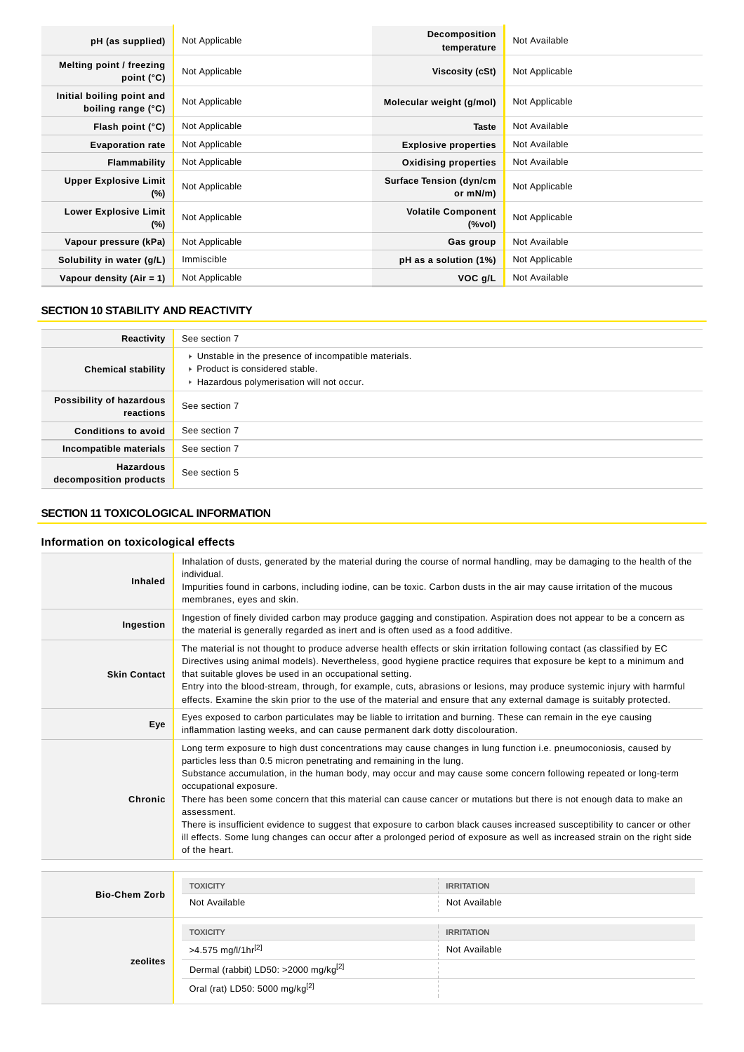| pH (as supplied)                                | Not Applicable | <b>Decomposition</b><br>temperature        | Not Available  |
|-------------------------------------------------|----------------|--------------------------------------------|----------------|
| Melting point / freezing<br>point $(^{\circ}C)$ | Not Applicable | Viscosity (cSt)                            | Not Applicable |
| Initial boiling point and<br>boiling range (°C) | Not Applicable | Molecular weight (g/mol)                   | Not Applicable |
| Flash point $(°C)$                              | Not Applicable | <b>Taste</b>                               | Not Available  |
| <b>Evaporation rate</b>                         | Not Applicable | <b>Explosive properties</b>                | Not Available  |
| <b>Flammability</b>                             | Not Applicable | <b>Oxidising properties</b>                | Not Available  |
| <b>Upper Explosive Limit</b><br>$(\%)$          | Not Applicable | <b>Surface Tension (dyn/cm</b><br>or mN/m) | Not Applicable |
| <b>Lower Explosive Limit</b><br>$(\%)$          | Not Applicable | <b>Volatile Component</b><br>(%vol)        | Not Applicable |
| Vapour pressure (kPa)                           | Not Applicable | Gas group                                  | Not Available  |
| Solubility in water (g/L)                       | Immiscible     | pH as a solution (1%)                      | Not Applicable |
| Vapour density $(Air = 1)$                      | Not Applicable | VOC g/L                                    | Not Available  |

## **SECTION 10 STABILITY AND REACTIVITY**

| Reactivity                                 | See section 7                                                                                                                        |
|--------------------------------------------|--------------------------------------------------------------------------------------------------------------------------------------|
| <b>Chemical stability</b>                  | • Unstable in the presence of incompatible materials.<br>▶ Product is considered stable.<br>Hazardous polymerisation will not occur. |
| Possibility of hazardous<br>reactions      | See section 7                                                                                                                        |
| <b>Conditions to avoid</b>                 | See section 7                                                                                                                        |
| Incompatible materials                     | See section 7                                                                                                                        |
| <b>Hazardous</b><br>decomposition products | See section 5                                                                                                                        |

## **SECTION 11 TOXICOLOGICAL INFORMATION**

## **Information on toxicological effects**

| <b>Inhaled</b>      | Inhalation of dusts, generated by the material during the course of normal handling, may be damaging to the health of the<br>individual.<br>Impurities found in carbons, including iodine, can be toxic. Carbon dusts in the air may cause irritation of the mucous<br>membranes, eyes and skin.                                                                                                                                                                                                                                                                                                                                                                                                                                                            |
|---------------------|-------------------------------------------------------------------------------------------------------------------------------------------------------------------------------------------------------------------------------------------------------------------------------------------------------------------------------------------------------------------------------------------------------------------------------------------------------------------------------------------------------------------------------------------------------------------------------------------------------------------------------------------------------------------------------------------------------------------------------------------------------------|
| Ingestion           | Ingestion of finely divided carbon may produce gagging and constipation. Aspiration does not appear to be a concern as<br>the material is generally regarded as inert and is often used as a food additive.                                                                                                                                                                                                                                                                                                                                                                                                                                                                                                                                                 |
| <b>Skin Contact</b> | The material is not thought to produce adverse health effects or skin irritation following contact (as classified by EC<br>Directives using animal models). Nevertheless, good hygiene practice requires that exposure be kept to a minimum and<br>that suitable gloves be used in an occupational setting.<br>Entry into the blood-stream, through, for example, cuts, abrasions or lesions, may produce systemic injury with harmful<br>effects. Examine the skin prior to the use of the material and ensure that any external damage is suitably protected.                                                                                                                                                                                             |
| Eye                 | Eyes exposed to carbon particulates may be liable to irritation and burning. These can remain in the eye causing<br>inflammation lasting weeks, and can cause permanent dark dotty discolouration.                                                                                                                                                                                                                                                                                                                                                                                                                                                                                                                                                          |
| Chronic             | Long term exposure to high dust concentrations may cause changes in lung function i.e. pneumoconiosis, caused by<br>particles less than 0.5 micron penetrating and remaining in the lung.<br>Substance accumulation, in the human body, may occur and may cause some concern following repeated or long-term<br>occupational exposure.<br>There has been some concern that this material can cause cancer or mutations but there is not enough data to make an<br>assessment.<br>There is insufficient evidence to suggest that exposure to carbon black causes increased susceptibility to cancer or other<br>ill effects. Some lung changes can occur after a prolonged period of exposure as well as increased strain on the right side<br>of the heart. |

| <b>Bio-Chem Zorb</b> | <b>TOXICITY</b>                                  | <b>IRRITATION</b> |
|----------------------|--------------------------------------------------|-------------------|
|                      | Not Available                                    | Not Available     |
| zeolites             | <b>TOXICITY</b>                                  | <b>IRRITATION</b> |
|                      | >4.575 mg/l/1hr <sup>[2]</sup>                   | Not Available     |
|                      | Dermal (rabbit) LD50: >2000 mg/kg <sup>[2]</sup> |                   |
|                      | Oral (rat) LD50: 5000 mg/kg <sup>[2]</sup>       |                   |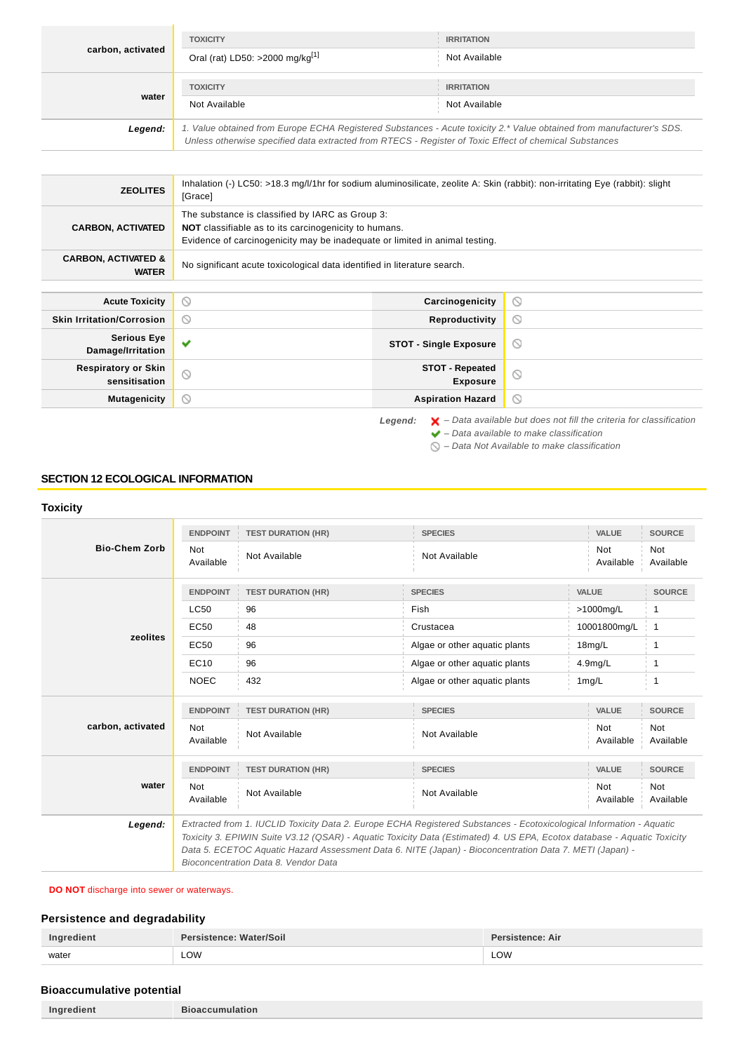| carbon, activated | <b>TOXICITY</b><br>Oral (rat) LD50: >2000 mg/kg <sup>[1]</sup>                                                                                                                                                                  | <b>IRRITATION</b><br>Not Available |  |
|-------------------|---------------------------------------------------------------------------------------------------------------------------------------------------------------------------------------------------------------------------------|------------------------------------|--|
| water             | <b>TOXICITY</b><br>Not Available                                                                                                                                                                                                | <b>IRRITATION</b><br>Not Available |  |
| Legend:           | 1. Value obtained from Europe ECHA Registered Substances - Acute toxicity 2.* Value obtained from manufacturer's SDS.<br>Unless otherwise specified data extracted from RTECS - Register of Toxic Effect of chemical Substances |                                    |  |

| <b>ZEOLITES</b>                                | Inhalation (-) LC50: >18.3 mg/l/1hr for sodium aluminosilicate, zeolite A: Skin (rabbit): non-irritating Eye (rabbit): slight<br>[Grace]                                                       |                                           |                |
|------------------------------------------------|------------------------------------------------------------------------------------------------------------------------------------------------------------------------------------------------|-------------------------------------------|----------------|
| <b>CARBON, ACTIVATED</b>                       | The substance is classified by IARC as Group 3:<br><b>NOT</b> classifiable as to its carcinogenicity to humans.<br>Evidence of carcinogenicity may be inadequate or limited in animal testing. |                                           |                |
| <b>CARBON, ACTIVATED &amp;</b><br><b>WATER</b> | No significant acute toxicological data identified in literature search.                                                                                                                       |                                           |                |
|                                                |                                                                                                                                                                                                |                                           |                |
| <b>Acute Toxicity</b>                          | $\circledcirc$                                                                                                                                                                                 | Carcinogenicity                           | $\odot$        |
| <b>Skin Irritation/Corrosion</b>               | $\circledcirc$                                                                                                                                                                                 | Reproductivity                            | $\circ$        |
| <b>Serious Eye</b><br>Damage/Irritation        | ✔                                                                                                                                                                                              | <b>STOT - Single Exposure</b>             | $\circledcirc$ |
| <b>Respiratory or Skin</b><br>sensitisation    | $\circ$                                                                                                                                                                                        | <b>STOT - Repeated</b><br><b>Exposure</b> | $\circ$        |
| <b>Mutagenicity</b>                            | $\circledcirc$                                                                                                                                                                                 | <b>Aspiration Hazard</b>                  | $\circ$        |

Legend:  $\mathsf{X}$  – Data available but does not fill the criteria for classification

 $\blacktriangleright$  – Data available to make classification

 $\bigcirc$  – Data Not Available to make classification

#### **SECTION 12 ECOLOGICAL INFORMATION**

#### **Toxicity Bio-Chem Zorb ENDPOINT TEST DURATION (HR) SPECIES VALUE SOURCE** Not Not<br>Available Not Available Not Available Not Available Ava<br>Available Ava Available Not Available **zeolites ENDPOINT TEST DURATION (HR) SPECIES VALUE SOURCE**  $LC50$  96 Fish  $\frac{1}{2}$  96 Fish  $\frac{1}{2}$  96 **EC50** 48 Crustacea 10001800mg/L 1 EC50 96 Algae or other aquatic plants 18mg/L 1 EC10 96 Algae or other aquatic plants 4.9mg/L 1 NOEC 432 Algae or other aquatic plants 1mg/L 1 **carbon, activated ENDPOINT TEST DURATION (HR) SPECIES VALUE SOURCE** Not Not<br>Available Not Available Not Available Not Available Ava<br>Available Ava Available Not Available **water ENDPOINT TEST DURATION (HR) SPECIES VALUE SOURCE** Not Available Not Available Not Available Not Available Not Available **Legend:** Extracted from 1. IUCLID Toxicity Data 2. Europe ECHA Registered Substances - Ecotoxicological Information - Aquatic Toxicity 3. EPIWIN Suite V3.12 (QSAR) - Aquatic Toxicity Data (Estimated) 4. US EPA, Ecotox database - Aquatic Toxicity Data 5. ECETOC Aquatic Hazard Assessment Data 6. NITE (Japan) - Bioconcentration Data 7. METI (Japan) - Bioconcentration Data 8. Vendor Data

#### **DO NOT** discharge into sewer or waterways.

#### **Persistence and degradability**

| Ingredient | Persistence: Water/Soil | <b>Persistence: Air</b> |
|------------|-------------------------|-------------------------|
| water      | LOW                     | LOW<br>____             |

#### **Bioaccumulative potential**

**Ingredient Bioaccumulation**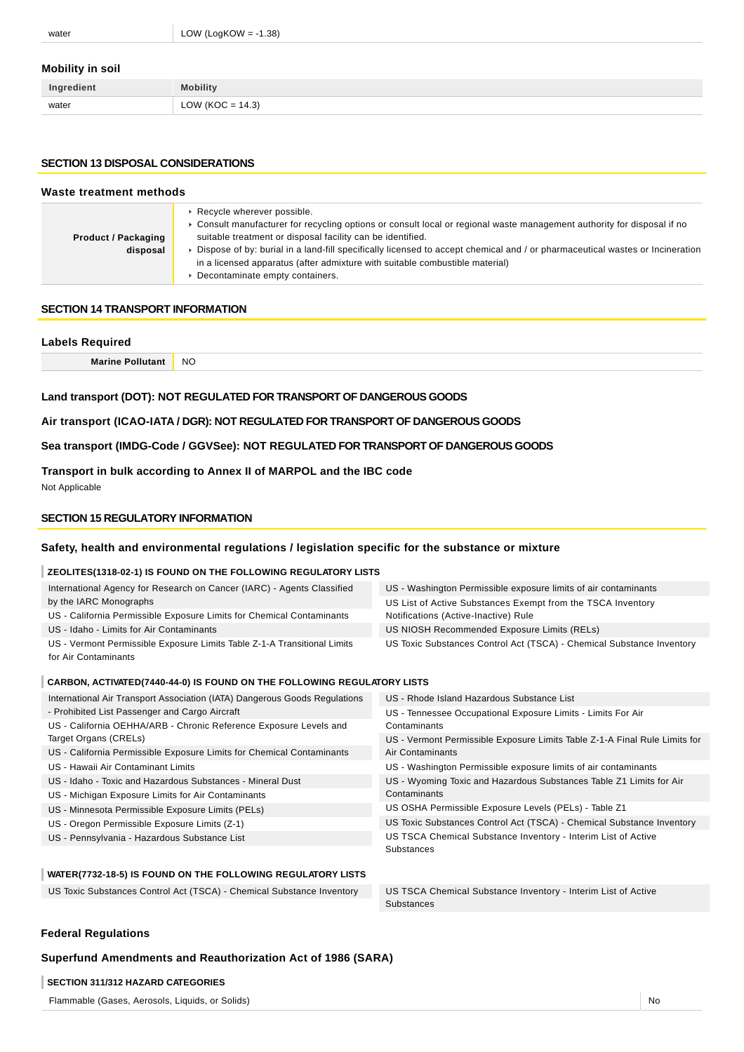#### **Mobility in soil**

| Ingredient | <b>Mobility</b>      |
|------------|----------------------|
| water      | LOW ( $KOC = 14.3$ ) |

#### **SECTION 13 DISPOSAL CONSIDERATIONS**

| Waste treatment methods                |                                                                                                                                                                                                                                                                                                                                                                                                                                                                              |  |
|----------------------------------------|------------------------------------------------------------------------------------------------------------------------------------------------------------------------------------------------------------------------------------------------------------------------------------------------------------------------------------------------------------------------------------------------------------------------------------------------------------------------------|--|
| <b>Product / Packaging</b><br>disposal | ▶ Recycle wherever possible.<br>► Consult manufacturer for recycling options or consult local or regional waste management authority for disposal if no<br>suitable treatment or disposal facility can be identified.<br>▶ Dispose of by: burial in a land-fill specifically licensed to accept chemical and / or pharmaceutical wastes or Incineration<br>in a licensed apparatus (after admixture with suitable combustible material)<br>• Decontaminate empty containers. |  |

#### **SECTION 14 TRANSPORT INFORMATION**

# **Labels Required Marine Pollutant** NO

## **Land transport (DOT): NOT REGULATED FOR TRANSPORT OF DANGEROUS GOODS**

**Air transport (ICAO-IATA / DGR): NOT REGULATED FOR TRANSPORT OF DANGEROUS GOODS**

**Sea transport (IMDG-Code / GGVSee): NOT REGULATED FOR TRANSPORT OF DANGEROUS GOODS**

**Transport in bulk according to Annex II of MARPOL and the IBC code**

Not Applicable

#### **SECTION 15 REGULATORY INFORMATION**

#### **Safety, health and environmental regulations / legislation specific for the substance or mixture**

## **ZEOLITES(1318-02-1) IS FOUND ON THE FOLLOWING REGULATORY LISTS**

| International Agency for Research on Cancer (IARC) - Agents Classified   | US - Washington Permissible exposure limits of air contaminants       |  |
|--------------------------------------------------------------------------|-----------------------------------------------------------------------|--|
| by the IARC Monographs                                                   | US List of Active Substances Exempt from the TSCA Inventory           |  |
| US - California Permissible Exposure Limits for Chemical Contaminants    | Notifications (Active-Inactive) Rule                                  |  |
| US - Idaho - Limits for Air Contaminants                                 | US NIOSH Recommended Exposure Limits (RELs)                           |  |
| US - Vermont Permissible Exposure Limits Table Z-1-A Transitional Limits | US Toxic Substances Control Act (TSCA) - Chemical Substance Inventory |  |
| for Air Contaminants                                                     |                                                                       |  |

#### **CARBON, ACTIVATED(7440-44-0) IS FOUND ON THE FOLLOWING REGULATORY LISTS**

| International Air Transport Association (IATA) Dangerous Goods Regulations | US - Rhode Island Hazardous Substance List                                 |
|----------------------------------------------------------------------------|----------------------------------------------------------------------------|
| - Prohibited List Passenger and Cargo Aircraft                             | US - Tennessee Occupational Exposure Limits - Limits For Air               |
| US - California OEHHA/ARB - Chronic Reference Exposure Levels and          | Contaminants                                                               |
| Target Organs (CRELs)                                                      | US - Vermont Permissible Exposure Limits Table Z-1-A Final Rule Limits for |
| US - California Permissible Exposure Limits for Chemical Contaminants      | Air Contaminants                                                           |
| US - Hawaii Air Contaminant Limits                                         | US - Washington Permissible exposure limits of air contaminants            |
| US - Idaho - Toxic and Hazardous Substances - Mineral Dust                 | US - Wyoming Toxic and Hazardous Substances Table Z1 Limits for Air        |
| US - Michigan Exposure Limits for Air Contaminants                         | Contaminants                                                               |
| US - Minnesota Permissible Exposure Limits (PELs)                          | US OSHA Permissible Exposure Levels (PELs) - Table Z1                      |
| US - Oregon Permissible Exposure Limits (Z-1)                              | US Toxic Substances Control Act (TSCA) - Chemical Substance Inventory      |
| US - Pennsylvania - Hazardous Substance List                               | US TSCA Chemical Substance Inventory - Interim List of Active              |
|                                                                            | Substances                                                                 |
|                                                                            |                                                                            |

#### **WATER(7732-18-5) IS FOUND ON THE FOLLOWING REGULATORY LISTS**

US Toxic Substances Control Act (TSCA) - Chemical Substance Inventory US TSCA Chemical Substance Inventory - Interim List of Active

Substances

#### **Federal Regulations**

#### **Superfund Amendments and Reauthorization Act of 1986 (SARA)**

#### **SECTION 311/312 HAZARD CATEGORIES**

Flammable (Gases, Aerosols, Liquids, or Solids) No was a statement of the statement of the statement of the statement of the statement of the statement of the statement of the statement of the statement of the statement of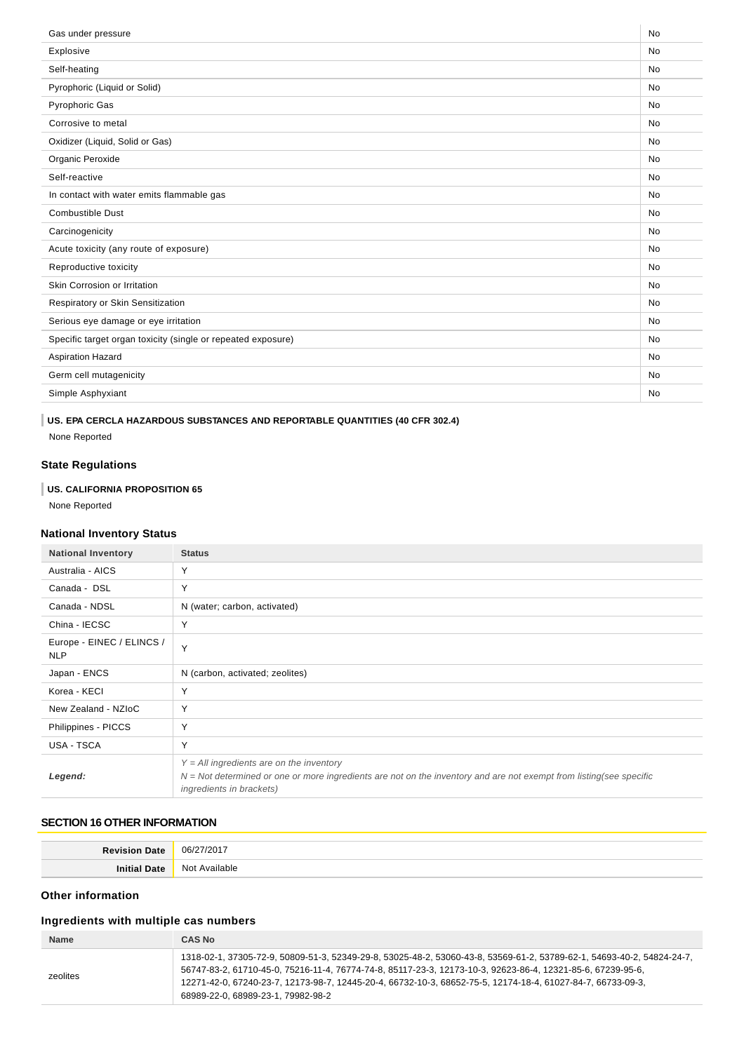| No<br>Gas under pressure                                                  |  |
|---------------------------------------------------------------------------|--|
| Explosive<br><b>No</b>                                                    |  |
| Self-heating<br><b>No</b>                                                 |  |
| Pyrophoric (Liquid or Solid)<br><b>No</b>                                 |  |
| <b>Pyrophoric Gas</b><br><b>No</b>                                        |  |
| Corrosive to metal<br><b>No</b>                                           |  |
| Oxidizer (Liquid, Solid or Gas)<br><b>No</b>                              |  |
| Organic Peroxide<br>No                                                    |  |
| Self-reactive<br><b>No</b>                                                |  |
| In contact with water emits flammable gas<br><b>No</b>                    |  |
| <b>Combustible Dust</b><br><b>No</b>                                      |  |
| Carcinogenicity<br><b>No</b>                                              |  |
| Acute toxicity (any route of exposure)<br><b>No</b>                       |  |
| Reproductive toxicity<br><b>No</b>                                        |  |
| Skin Corrosion or Irritation<br>No                                        |  |
| Respiratory or Skin Sensitization<br>No                                   |  |
| Serious eye damage or eye irritation<br><b>No</b>                         |  |
| Specific target organ toxicity (single or repeated exposure)<br><b>No</b> |  |
| <b>Aspiration Hazard</b><br><b>No</b>                                     |  |
| Germ cell mutagenicity<br><b>No</b>                                       |  |
| Simple Asphyxiant<br><b>No</b>                                            |  |

## **US. EPA CERCLA HAZARDOUS SUBSTANCES AND REPORTABLE QUANTITIES (40 CFR 302.4)**

None Reported

## **State Regulations**

## **US. CALIFORNIA PROPOSITION 65**

None Reported

## **National Inventory Status**

| <b>National Inventory</b>               | <b>Status</b>                                                                                                                                                                                   |
|-----------------------------------------|-------------------------------------------------------------------------------------------------------------------------------------------------------------------------------------------------|
| Australia - AICS                        | Y                                                                                                                                                                                               |
| Canada - DSL                            | Y                                                                                                                                                                                               |
| Canada - NDSL                           | N (water; carbon, activated)                                                                                                                                                                    |
| China - IECSC                           | Y                                                                                                                                                                                               |
| Europe - EINEC / ELINCS /<br><b>NLP</b> | Y                                                                                                                                                                                               |
| Japan - ENCS                            | N (carbon, activated; zeolites)                                                                                                                                                                 |
| Korea - KECI                            | Υ                                                                                                                                                                                               |
| New Zealand - NZIoC                     | Y                                                                                                                                                                                               |
| Philippines - PICCS                     | Y                                                                                                                                                                                               |
| USA - TSCA                              | Y                                                                                                                                                                                               |
| Legend:                                 | $Y = All$ ingredients are on the inventory<br>$N = Not determined$ or one or more ingredients are not on the inventory and are not exempt from listing(see specific<br>ingredients in brackets) |

## **SECTION 16 OTHER INFORMATION**

| Revision<br>$\sim$ Date | /2017<br>06/27  |
|-------------------------|-----------------|
| Initial                 | No <sup>.</sup> |
| Date                    | Available       |

## **Other information**

## **Ingredients with multiple cas numbers**

| <b>Name</b> | CAS No                                                                                                                                                                                                                                                                                                                                                                                     |
|-------------|--------------------------------------------------------------------------------------------------------------------------------------------------------------------------------------------------------------------------------------------------------------------------------------------------------------------------------------------------------------------------------------------|
| zeolites    | 1318-02-1, 37305-72-9, 50809-51-3, 52349-29-8, 53025-48-2, 53060-43-8, 53569-61-2, 53789-62-1, 54693-40-2, 54824-24-7,<br>56747-83-2, 61710-45-0, 75216-11-4, 76774-74-8, 85117-23-3, 12173-10-3, 92623-86-4, 12321-85-6, 67239-95-6,<br>12271-42-0, 67240-23-7, 12173-98-7, 12445-20-4, 66732-10-3, 68652-75-5, 12174-18-4, 61027-84-7, 66733-09-3,<br>68989-22-0. 68989-23-1. 79982-98-2 |